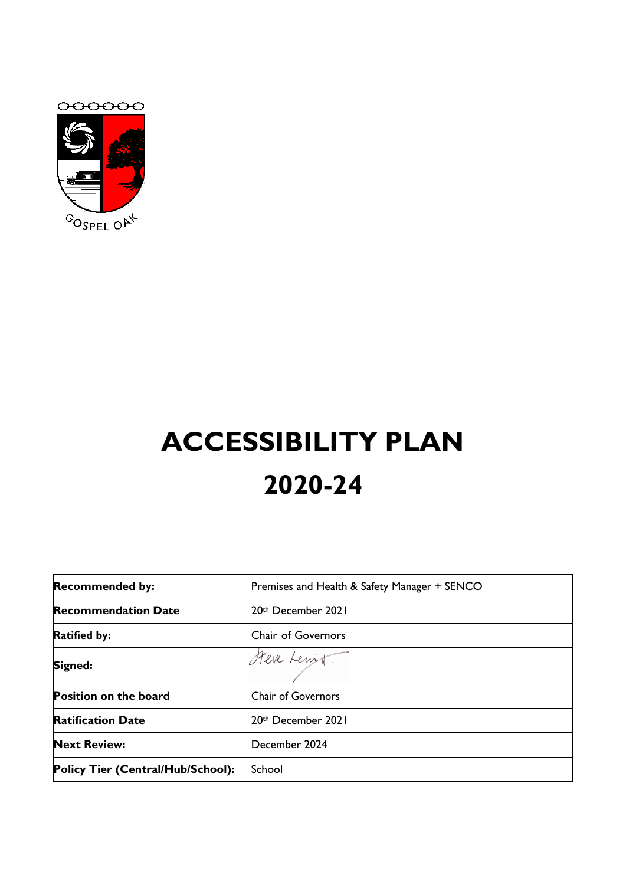



# **ACCESSIBILITY PLAN 2020-24**

| <b>Recommended by:</b>            | Premises and Health & Safety Manager + SENCO |
|-----------------------------------|----------------------------------------------|
| <b>Recommendation Date</b>        | 20th December 2021                           |
| <b>Ratified by:</b>               | <b>Chair of Governors</b>                    |
| Signed:                           | Steve Lenit.                                 |
| <b>Position on the board</b>      | <b>Chair of Governors</b>                    |
| <b>Ratification Date</b>          | 20th December 2021                           |
| <b>Next Review:</b>               | December 2024                                |
| Policy Tier (Central/Hub/School): | School                                       |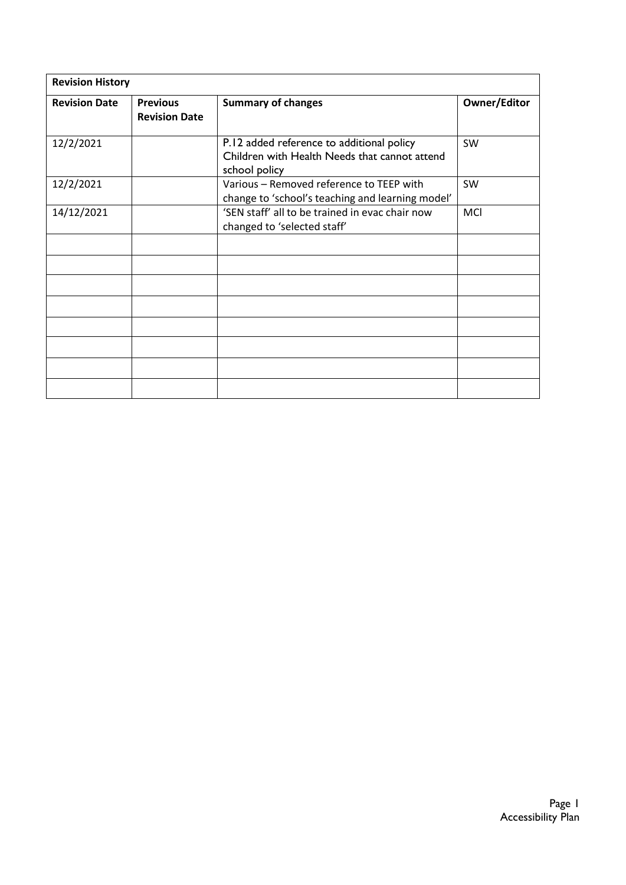| <b>Revision History</b> |                                         |                                                                                                             |                     |  |
|-------------------------|-----------------------------------------|-------------------------------------------------------------------------------------------------------------|---------------------|--|
| <b>Revision Date</b>    | <b>Previous</b><br><b>Revision Date</b> | <b>Summary of changes</b>                                                                                   | <b>Owner/Editor</b> |  |
| 12/2/2021               |                                         | P.12 added reference to additional policy<br>Children with Health Needs that cannot attend<br>school policy | SW                  |  |
| 12/2/2021               |                                         | Various - Removed reference to TEEP with<br>change to 'school's teaching and learning model'                | SW                  |  |
| 14/12/2021              |                                         | 'SEN staff' all to be trained in evac chair now<br>changed to 'selected staff'                              | MCI                 |  |
|                         |                                         |                                                                                                             |                     |  |
|                         |                                         |                                                                                                             |                     |  |
|                         |                                         |                                                                                                             |                     |  |
|                         |                                         |                                                                                                             |                     |  |
|                         |                                         |                                                                                                             |                     |  |
|                         |                                         |                                                                                                             |                     |  |
|                         |                                         |                                                                                                             |                     |  |
|                         |                                         |                                                                                                             |                     |  |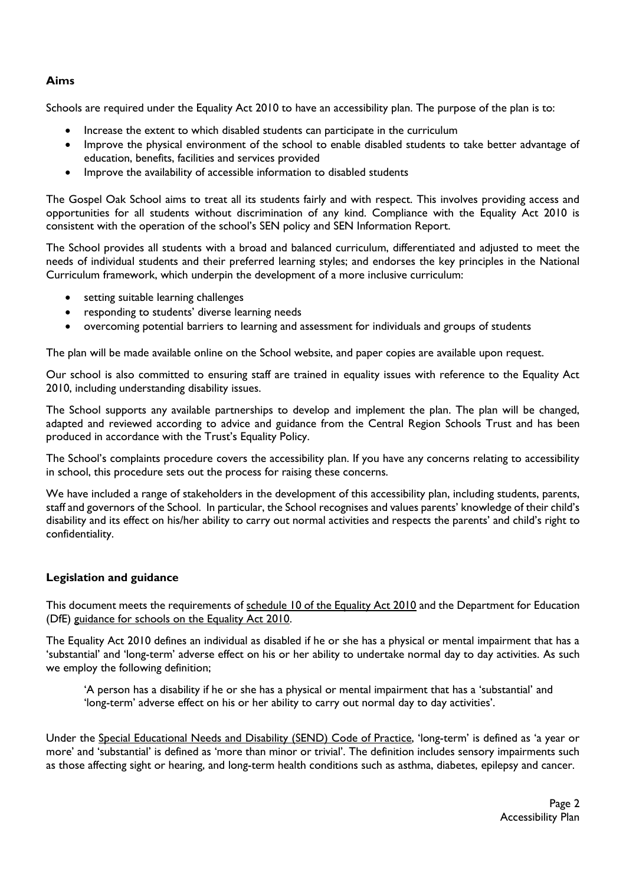## **Aims**

Schools are required under the Equality Act 2010 to have an accessibility plan. The purpose of the plan is to:

- Increase the extent to which disabled students can participate in the curriculum
- Improve the physical environment of the school to enable disabled students to take better advantage of education, benefits, facilities and services provided
- Improve the availability of accessible information to disabled students

The Gospel Oak School aims to treat all its students fairly and with respect. This involves providing access and opportunities for all students without discrimination of any kind. Compliance with the Equality Act 2010 is consistent with the operation of the school's SEN policy and SEN Information Report.

The School provides all students with a broad and balanced curriculum, differentiated and adjusted to meet the needs of individual students and their preferred learning styles; and endorses the key principles in the National Curriculum framework, which underpin the development of a more inclusive curriculum:

- setting suitable learning challenges
- responding to students' diverse learning needs
- overcoming potential barriers to learning and assessment for individuals and groups of students

The plan will be made available online on the School website, and paper copies are available upon request.

Our school is also committed to ensuring staff are trained in equality issues with reference to the Equality Act 2010, including understanding disability issues.

The School supports any available partnerships to develop and implement the plan. The plan will be changed, adapted and reviewed according to advice and guidance from the Central Region Schools Trust and has been produced in accordance with the Trust's Equality Policy.

The School's complaints procedure covers the accessibility plan. If you have any concerns relating to accessibility in school, this procedure sets out the process for raising these concerns.

We have included a range of stakeholders in the development of this accessibility plan, including students, parents, staff and governors of the School. In particular, the School recognises and values parents' knowledge of their child's disability and its effect on his/her ability to carry out normal activities and respects the parents' and child's right to confidentiality.

## **Legislation and guidance**

This document meets the requirements of [schedule 10 of the Equality Act 2010](http://www.legislation.gov.uk/ukpga/2010/15/schedule/10) and the Department for Education (DfE) [guidance for schools on the Equality Act 2010.](https://www.gov.uk/government/publications/equality-act-2010-advice-for-schools)

The Equality Act 2010 defines an individual as disabled if he or she has a physical or mental impairment that has a 'substantial' and 'long-term' adverse effect on his or her ability to undertake normal day to day activities. As such we employ the following definition;

'A person has a disability if he or she has a physical or mental impairment that has a 'substantial' and 'long-term' adverse effect on his or her ability to carry out normal day to day activities'.

Under the [Special Educational Needs and Disability \(SEND\) Code of Practice](https://www.gov.uk/government/publications/send-code-of-practice-0-to-25), 'long-term' is defined as 'a year or more' and 'substantial' is defined as 'more than minor or trivial'. The definition includes sensory impairments such as those affecting sight or hearing, and long-term health conditions such as asthma, diabetes, epilepsy and cancer.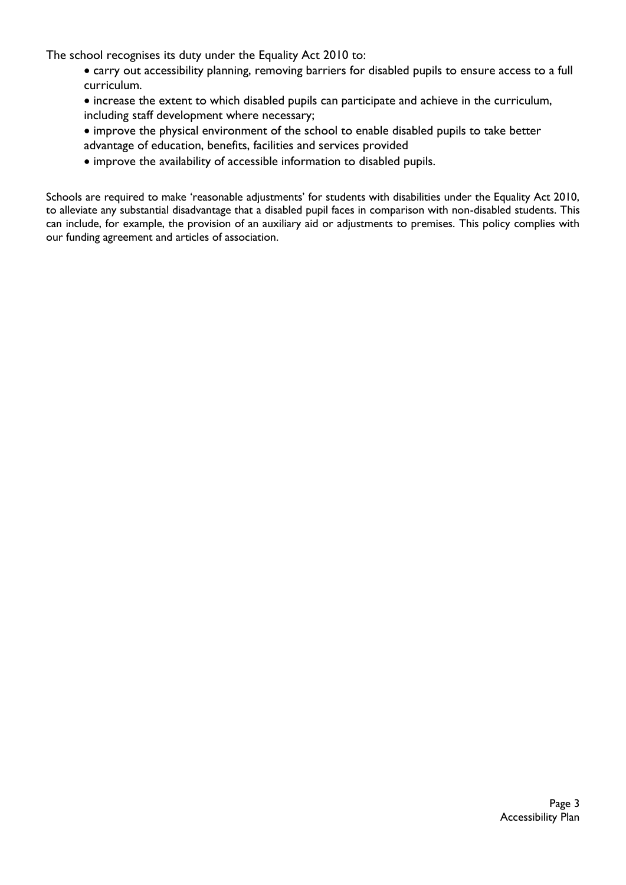The school recognises its duty under the Equality Act 2010 to:

- carry out accessibility planning, removing barriers for disabled pupils to ensure access to a full curriculum.
- increase the extent to which disabled pupils can participate and achieve in the curriculum, including staff development where necessary;
- improve the physical environment of the school to enable disabled pupils to take better
- advantage of education, benefits, facilities and services provided
- improve the availability of accessible information to disabled pupils.

Schools are required to make 'reasonable adjustments' for students with disabilities under the Equality Act 2010, to alleviate any substantial disadvantage that a disabled pupil faces in comparison with non-disabled students. This can include, for example, the provision of an auxiliary aid or adjustments to premises. This policy complies with our funding agreement and articles of association.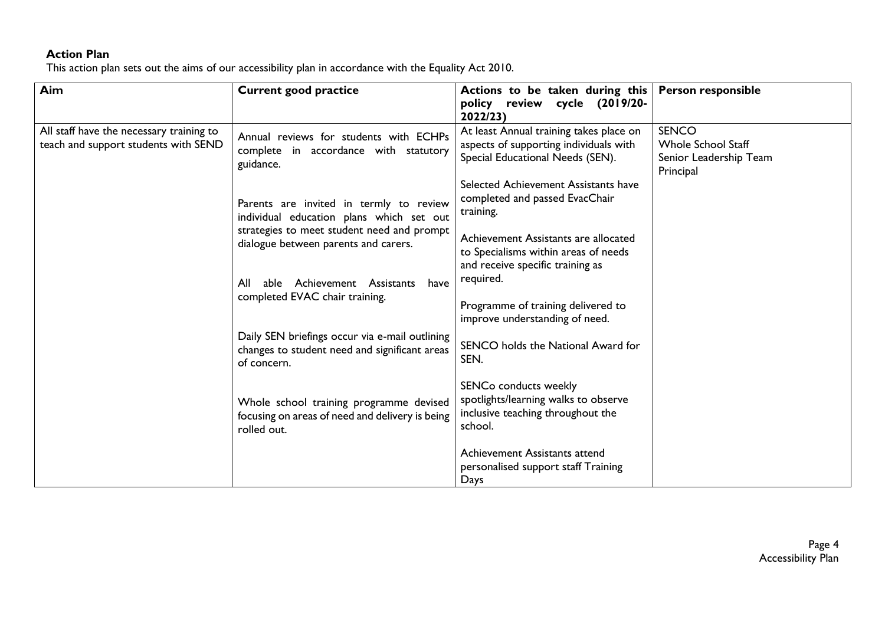## **Action Plan**

This action plan sets out the aims of our accessibility plan in accordance with the Equality Act 2010.

| Aim                                                                              | <b>Current good practice</b>                                                                                   | Actions to be taken during this<br>policy review cycle (2019/20-<br>2022/23)                                          | <b>Person responsible</b>                                                        |
|----------------------------------------------------------------------------------|----------------------------------------------------------------------------------------------------------------|-----------------------------------------------------------------------------------------------------------------------|----------------------------------------------------------------------------------|
| All staff have the necessary training to<br>teach and support students with SEND | Annual reviews for students with ECHPs<br>complete in accordance with statutory<br>guidance.                   | At least Annual training takes place on<br>aspects of supporting individuals with<br>Special Educational Needs (SEN). | <b>SENCO</b><br><b>Whole School Staff</b><br>Senior Leadership Team<br>Principal |
|                                                                                  | Parents are invited in termly to review<br>individual education plans which set out                            | Selected Achievement Assistants have<br>completed and passed EvacChair<br>training.                                   |                                                                                  |
|                                                                                  | strategies to meet student need and prompt<br>dialogue between parents and carers.                             | Achievement Assistants are allocated<br>to Specialisms within areas of needs<br>and receive specific training as      |                                                                                  |
|                                                                                  | able Achievement Assistants<br>All<br>have<br>completed EVAC chair training.                                   | required.<br>Programme of training delivered to<br>improve understanding of need.                                     |                                                                                  |
|                                                                                  | Daily SEN briefings occur via e-mail outlining<br>changes to student need and significant areas<br>of concern. | SENCO holds the National Award for<br>SEN.                                                                            |                                                                                  |
|                                                                                  | Whole school training programme devised<br>focusing on areas of need and delivery is being<br>rolled out.      | SENCo conducts weekly<br>spotlights/learning walks to observe<br>inclusive teaching throughout the<br>school.         |                                                                                  |
|                                                                                  |                                                                                                                | Achievement Assistants attend<br>personalised support staff Training<br>Days                                          |                                                                                  |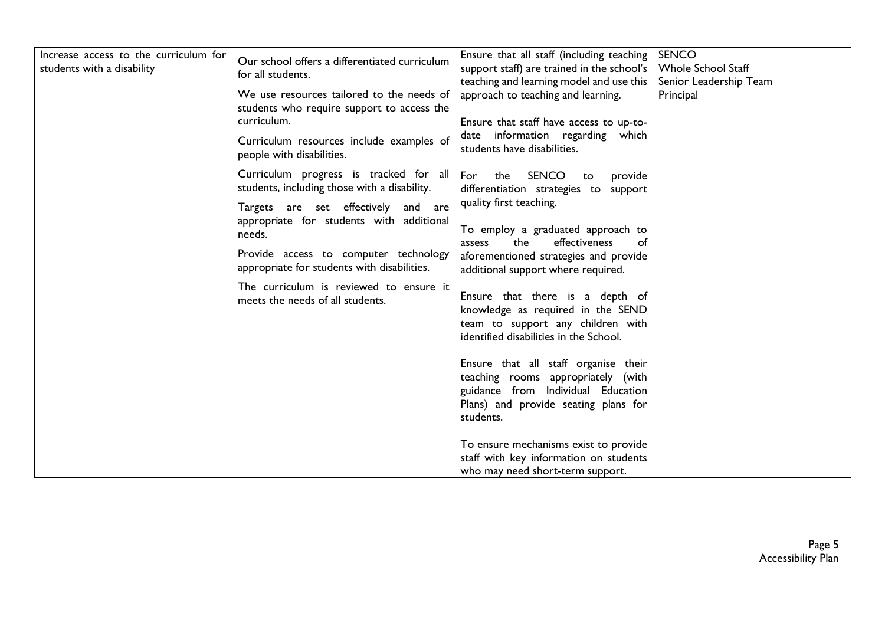| Increase access to the curriculum for<br>students with a disability | Our school offers a differentiated curriculum<br>for all students.<br>We use resources tailored to the needs of<br>students who require support to access the | Ensure that all staff (including teaching<br>support staff) are trained in the school's<br>teaching and learning model and use this<br>approach to teaching and learning. | <b>SENCO</b><br><b>Whole School Staff</b><br>Senior Leadership Team<br>Principal |
|---------------------------------------------------------------------|---------------------------------------------------------------------------------------------------------------------------------------------------------------|---------------------------------------------------------------------------------------------------------------------------------------------------------------------------|----------------------------------------------------------------------------------|
|                                                                     | curriculum.<br>Curriculum resources include examples of<br>people with disabilities.                                                                          | Ensure that staff have access to up-to-<br>date information regarding which<br>students have disabilities.                                                                |                                                                                  |
|                                                                     | Curriculum progress is tracked for all<br>students, including those with a disability.<br>Targets are set effectively and are                                 | SENCO<br>For<br>the<br>provide<br>to<br>differentiation strategies to support<br>quality first teaching.                                                                  |                                                                                  |
|                                                                     | appropriate for students with additional<br>needs.<br>Provide access to computer technology<br>appropriate for students with disabilities.                    | To employ a graduated approach to<br>the<br>effectiveness<br>of<br>assess<br>aforementioned strategies and provide<br>additional support where required.                  |                                                                                  |
|                                                                     | The curriculum is reviewed to ensure it<br>meets the needs of all students.                                                                                   | Ensure that there is a depth of<br>knowledge as required in the SEND<br>team to support any children with<br>identified disabilities in the School.                       |                                                                                  |
|                                                                     |                                                                                                                                                               | Ensure that all staff organise their<br>teaching rooms appropriately (with<br>guidance from Individual Education<br>Plans) and provide seating plans for<br>students.     |                                                                                  |
|                                                                     |                                                                                                                                                               | To ensure mechanisms exist to provide<br>staff with key information on students<br>who may need short-term support.                                                       |                                                                                  |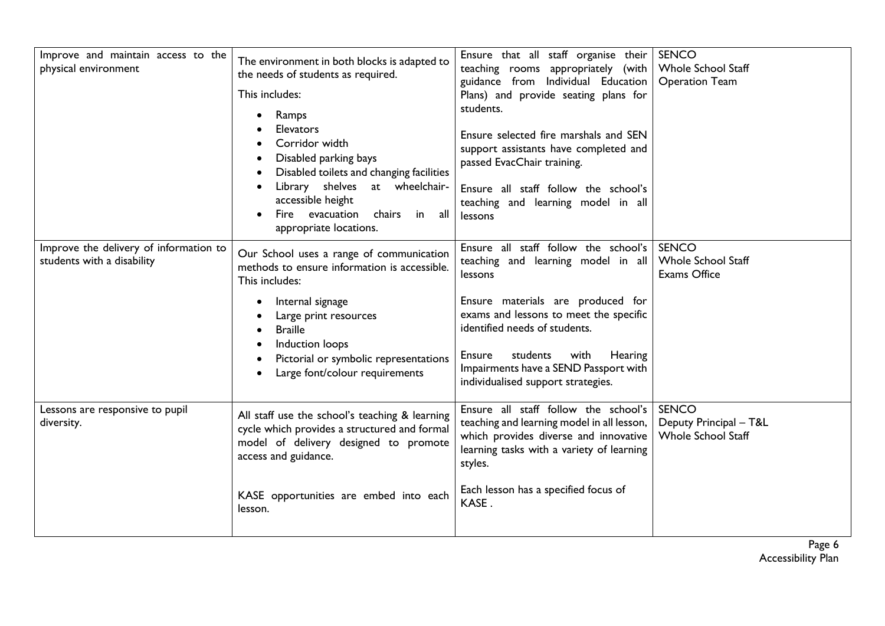| Improve and maintain access to the<br>physical environment           | The environment in both blocks is adapted to<br>the needs of students as required.<br>This includes:<br>Ramps<br><b>Elevators</b><br>Corridor width<br>Disabled parking bays<br>Disabled toilets and changing facilities<br>Library shelves<br>at wheelchair-<br>accessible height<br>Fire evacuation<br>chairs in<br>all<br>appropriate locations. | Ensure that all staff organise their<br>teaching rooms appropriately (with<br>guidance from Individual Education<br>Plans) and provide seating plans for<br>students.<br>Ensure selected fire marshals and SEN<br>support assistants have completed and<br>passed EvacChair training.<br>Ensure all staff follow the school's<br>teaching and learning model in all<br>lessons | SENCO<br><b>Whole School Staff</b><br><b>Operation Team</b>         |
|----------------------------------------------------------------------|-----------------------------------------------------------------------------------------------------------------------------------------------------------------------------------------------------------------------------------------------------------------------------------------------------------------------------------------------------|--------------------------------------------------------------------------------------------------------------------------------------------------------------------------------------------------------------------------------------------------------------------------------------------------------------------------------------------------------------------------------|---------------------------------------------------------------------|
| Improve the delivery of information to<br>students with a disability | Our School uses a range of communication<br>methods to ensure information is accessible.<br>This includes:<br>Internal signage<br>Large print resources<br><b>Braille</b><br>Induction loops<br>Pictorial or symbolic representations<br>Large font/colour requirements                                                                             | Ensure all staff follow the school's<br>teaching and learning model in all<br>lessons<br>Ensure materials are produced for<br>exams and lessons to meet the specific<br>identified needs of students.<br>Ensure<br>Hearing<br>students<br>with<br>Impairments have a SEND Passport with<br>individualised support strategies.                                                  | <b>SENCO</b><br><b>Whole School Staff</b><br><b>Exams Office</b>    |
| Lessons are responsive to pupil<br>diversity.                        | All staff use the school's teaching & learning<br>cycle which provides a structured and formal<br>model of delivery designed to promote<br>access and guidance.<br>KASE opportunities are embed into each<br>lesson.                                                                                                                                | Ensure all staff follow the school's<br>teaching and learning model in all lesson,<br>which provides diverse and innovative<br>learning tasks with a variety of learning<br>styles.<br>Each lesson has a specified focus of<br>KASE.                                                                                                                                           | <b>SENCO</b><br>Deputy Principal - T&L<br><b>Whole School Staff</b> |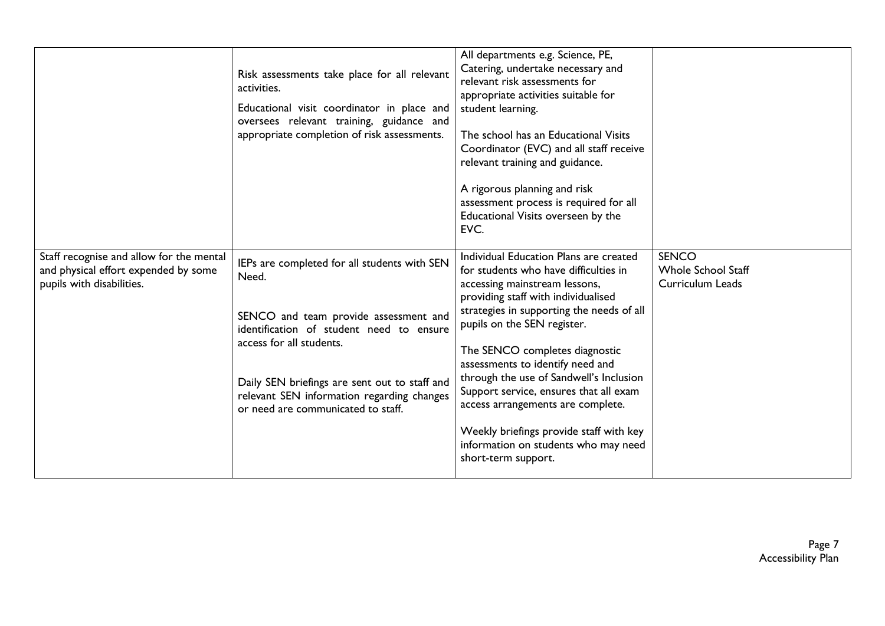|                                                                                                               | Risk assessments take place for all relevant<br>activities.<br>Educational visit coordinator in place and<br>oversees relevant training, guidance and<br>appropriate completion of risk assessments.                                                                                                        | All departments e.g. Science, PE,<br>Catering, undertake necessary and<br>relevant risk assessments for<br>appropriate activities suitable for<br>student learning.<br>The school has an Educational Visits<br>Coordinator (EVC) and all staff receive<br>relevant training and guidance.<br>A rigorous planning and risk<br>assessment process is required for all<br>Educational Visits overseen by the<br>EVC.                                                                                                                             |                                                               |
|---------------------------------------------------------------------------------------------------------------|-------------------------------------------------------------------------------------------------------------------------------------------------------------------------------------------------------------------------------------------------------------------------------------------------------------|-----------------------------------------------------------------------------------------------------------------------------------------------------------------------------------------------------------------------------------------------------------------------------------------------------------------------------------------------------------------------------------------------------------------------------------------------------------------------------------------------------------------------------------------------|---------------------------------------------------------------|
| Staff recognise and allow for the mental<br>and physical effort expended by some<br>pupils with disabilities. | IEPs are completed for all students with SEN<br>Need.<br>SENCO and team provide assessment and<br>identification of student need to ensure<br>access for all students.<br>Daily SEN briefings are sent out to staff and<br>relevant SEN information regarding changes<br>or need are communicated to staff. | Individual Education Plans are created<br>for students who have difficulties in<br>accessing mainstream lessons,<br>providing staff with individualised<br>strategies in supporting the needs of all<br>pupils on the SEN register.<br>The SENCO completes diagnostic<br>assessments to identify need and<br>through the use of Sandwell's Inclusion<br>Support service, ensures that all exam<br>access arrangements are complete.<br>Weekly briefings provide staff with key<br>information on students who may need<br>short-term support. | <b>SENCO</b><br><b>Whole School Staff</b><br>Curriculum Leads |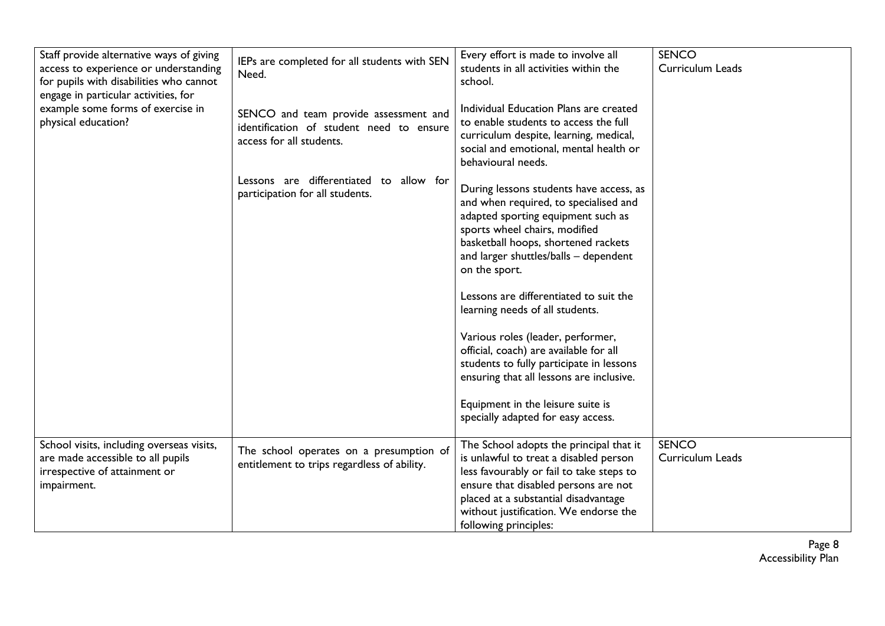| Staff provide alternative ways of giving<br>access to experience or understanding<br>for pupils with disabilities who cannot<br>engage in particular activities, for | IEPs are completed for all students with SEN<br>Need.                                                         | Every effort is made to involve all<br>students in all activities within the<br>school.                                                                                                                                                                                         | <b>SENCO</b><br>Curriculum Leads |
|----------------------------------------------------------------------------------------------------------------------------------------------------------------------|---------------------------------------------------------------------------------------------------------------|---------------------------------------------------------------------------------------------------------------------------------------------------------------------------------------------------------------------------------------------------------------------------------|----------------------------------|
| example some forms of exercise in<br>physical education?                                                                                                             | SENCO and team provide assessment and<br>identification of student need to ensure<br>access for all students. | Individual Education Plans are created<br>to enable students to access the full<br>curriculum despite, learning, medical,<br>social and emotional, mental health or<br>behavioural needs.                                                                                       |                                  |
|                                                                                                                                                                      | Lessons are differentiated to allow for<br>participation for all students.                                    | During lessons students have access, as<br>and when required, to specialised and<br>adapted sporting equipment such as<br>sports wheel chairs, modified<br>basketball hoops, shortened rackets<br>and larger shuttles/balls - dependent<br>on the sport.                        |                                  |
|                                                                                                                                                                      |                                                                                                               | Lessons are differentiated to suit the<br>learning needs of all students.                                                                                                                                                                                                       |                                  |
|                                                                                                                                                                      |                                                                                                               | Various roles (leader, performer,<br>official, coach) are available for all<br>students to fully participate in lessons<br>ensuring that all lessons are inclusive.                                                                                                             |                                  |
|                                                                                                                                                                      |                                                                                                               | Equipment in the leisure suite is<br>specially adapted for easy access.                                                                                                                                                                                                         |                                  |
| School visits, including overseas visits,<br>are made accessible to all pupils<br>irrespective of attainment or<br>impairment.                                       | The school operates on a presumption of<br>entitlement to trips regardless of ability.                        | The School adopts the principal that it<br>is unlawful to treat a disabled person<br>less favourably or fail to take steps to<br>ensure that disabled persons are not<br>placed at a substantial disadvantage<br>without justification. We endorse the<br>following principles: | <b>SENCO</b><br>Curriculum Leads |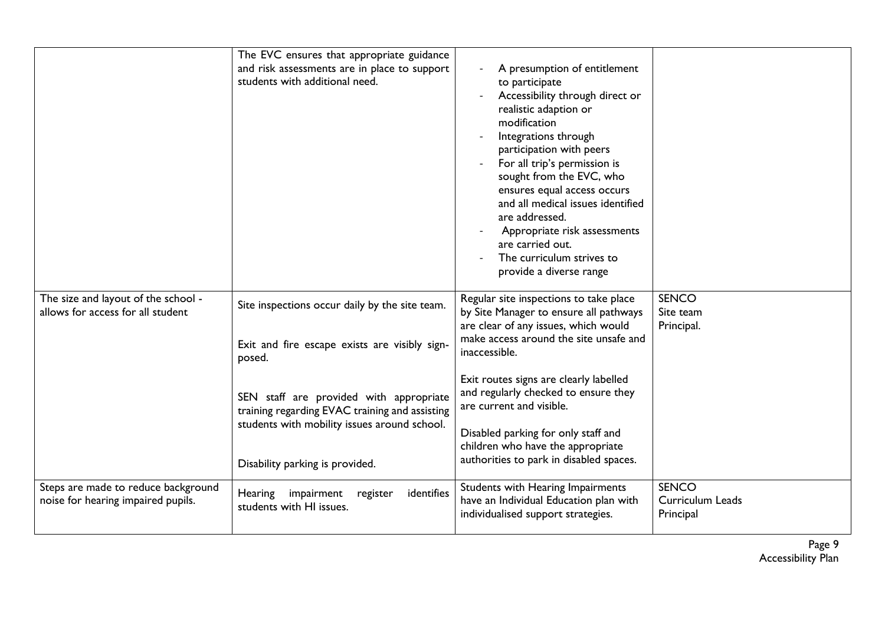|                                                                           | The EVC ensures that appropriate guidance<br>and risk assessments are in place to support<br>students with additional need.                                                  | A presumption of entitlement<br>to participate<br>Accessibility through direct or<br>realistic adaption or<br>modification<br>Integrations through<br>participation with peers<br>For all trip's permission is<br>sought from the EVC, who<br>ensures equal access occurs<br>and all medical issues identified<br>are addressed.<br>Appropriate risk assessments<br>are carried out.<br>The curriculum strives to<br>provide a diverse range |                                               |
|---------------------------------------------------------------------------|------------------------------------------------------------------------------------------------------------------------------------------------------------------------------|----------------------------------------------------------------------------------------------------------------------------------------------------------------------------------------------------------------------------------------------------------------------------------------------------------------------------------------------------------------------------------------------------------------------------------------------|-----------------------------------------------|
| The size and layout of the school -<br>allows for access for all student  | Site inspections occur daily by the site team.<br>Exit and fire escape exists are visibly sign-<br>posed.                                                                    | Regular site inspections to take place<br>by Site Manager to ensure all pathways<br>are clear of any issues, which would<br>make access around the site unsafe and<br>inaccessible.                                                                                                                                                                                                                                                          | <b>SENCO</b><br>Site team<br>Principal.       |
|                                                                           | SEN staff are provided with appropriate<br>training regarding EVAC training and assisting<br>students with mobility issues around school.<br>Disability parking is provided. | Exit routes signs are clearly labelled<br>and regularly checked to ensure they<br>are current and visible.<br>Disabled parking for only staff and<br>children who have the appropriate<br>authorities to park in disabled spaces.                                                                                                                                                                                                            |                                               |
| Steps are made to reduce background<br>noise for hearing impaired pupils. | impairment<br>identifies<br>Hearing<br>register<br>students with HI issues.                                                                                                  | Students with Hearing Impairments<br>have an Individual Education plan with<br>individualised support strategies.                                                                                                                                                                                                                                                                                                                            | <b>SENCO</b><br>Curriculum Leads<br>Principal |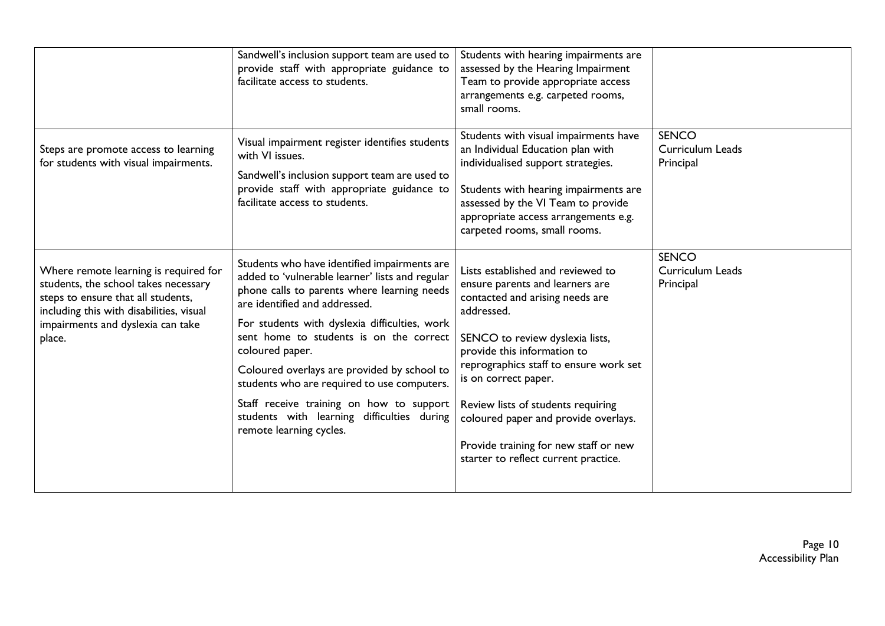|                                                                                                                                                                                                                | Sandwell's inclusion support team are used to<br>provide staff with appropriate guidance to<br>facilitate access to students.                                                                                                                                                                                                                                                                                                                                                                                     | Students with hearing impairments are<br>assessed by the Hearing Impairment<br>Team to provide appropriate access<br>arrangements e.g. carpeted rooms,<br>small rooms.                                                                                                                                                                                                                                                   |                                               |
|----------------------------------------------------------------------------------------------------------------------------------------------------------------------------------------------------------------|-------------------------------------------------------------------------------------------------------------------------------------------------------------------------------------------------------------------------------------------------------------------------------------------------------------------------------------------------------------------------------------------------------------------------------------------------------------------------------------------------------------------|--------------------------------------------------------------------------------------------------------------------------------------------------------------------------------------------------------------------------------------------------------------------------------------------------------------------------------------------------------------------------------------------------------------------------|-----------------------------------------------|
| Steps are promote access to learning<br>for students with visual impairments.                                                                                                                                  | Visual impairment register identifies students<br>with VI issues.<br>Sandwell's inclusion support team are used to<br>provide staff with appropriate guidance to<br>facilitate access to students.                                                                                                                                                                                                                                                                                                                | Students with visual impairments have<br>an Individual Education plan with<br>individualised support strategies.<br>Students with hearing impairments are<br>assessed by the VI Team to provide<br>appropriate access arrangements e.g.<br>carpeted rooms, small rooms.                                                                                                                                                  | <b>SENCO</b><br>Curriculum Leads<br>Principal |
| Where remote learning is required for<br>students, the school takes necessary<br>steps to ensure that all students,<br>including this with disabilities, visual<br>impairments and dyslexia can take<br>place. | Students who have identified impairments are<br>added to 'vulnerable learner' lists and regular<br>phone calls to parents where learning needs<br>are identified and addressed.<br>For students with dyslexia difficulties, work<br>sent home to students is on the correct<br>coloured paper.<br>Coloured overlays are provided by school to<br>students who are required to use computers.<br>Staff receive training on how to support<br>students with learning difficulties during<br>remote learning cycles. | Lists established and reviewed to<br>ensure parents and learners are<br>contacted and arising needs are<br>addressed.<br>SENCO to review dyslexia lists,<br>provide this information to<br>reprographics staff to ensure work set<br>is on correct paper.<br>Review lists of students requiring<br>coloured paper and provide overlays.<br>Provide training for new staff or new<br>starter to reflect current practice. | <b>SENCO</b><br>Curriculum Leads<br>Principal |